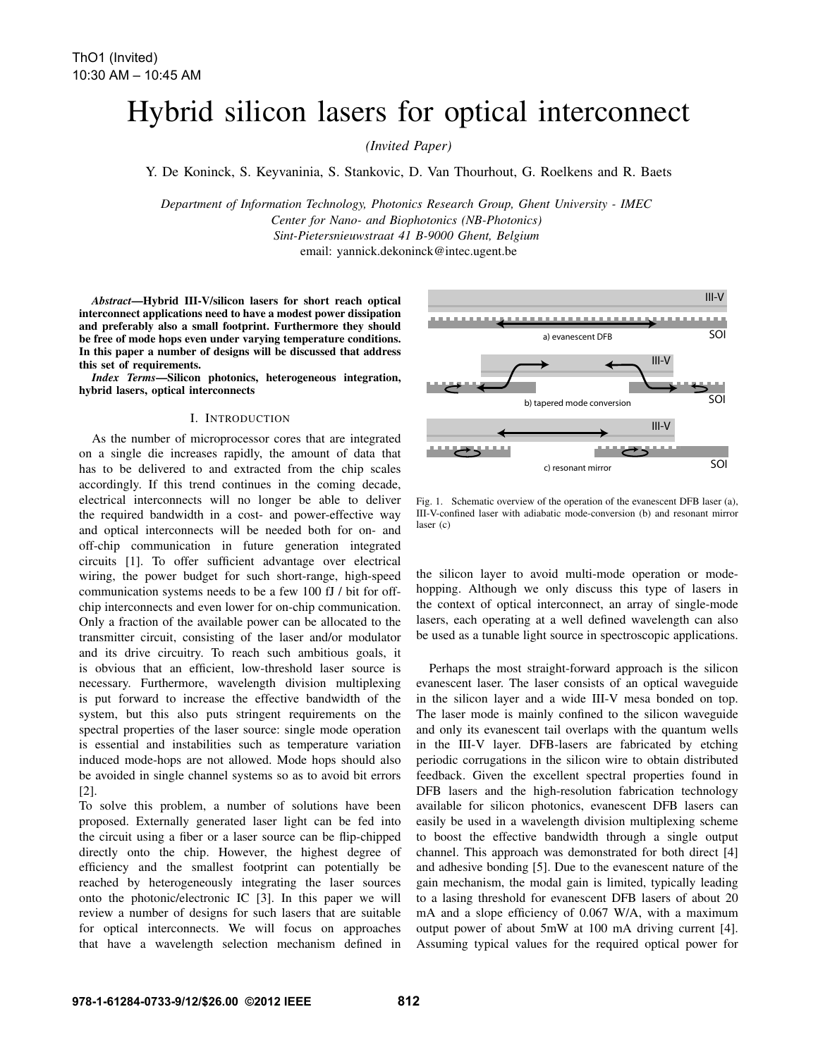# Hybrid silicon lasers for optical interconnect

*(Invited Paper)*

Y. De Koninck, S. Keyvaninia, S. Stankovic, D. Van Thourhout, G. Roelkens and R. Baets

*Department of Information Technology, Photonics Research Group, Ghent University - IMEC Center for Nano- and Biophotonics (NB-Photonics) Sint-Pietersnieuwstraat 41 B-9000 Ghent, Belgium* email: yannick.dekoninck@intec.ugent.be

*Abstract*—Hybrid III-V/silicon lasers for short reach optical interconnect applications need to have a modest power dissipation and preferably also a small footprint. Furthermore they should be free of mode hops even under varying temperature conditions. In this paper a number of designs will be discussed that address this set of requirements.

*Index Terms*—Silicon photonics, heterogeneous integration, hybrid lasers, optical interconnects

#### I. INTRODUCTION

As the number of microprocessor cores that are integrated on a single die increases rapidly, the amount of data that has to be delivered to and extracted from the chip scales accordingly. If this trend continues in the coming decade, electrical interconnects will no longer be able to deliver the required bandwidth in a cost- and power-effective way and optical interconnects will be needed both for on- and off-chip communication in future generation integrated circuits [1]. To offer sufficient advantage over electrical wiring, the power budget for such short-range, high-speed communication systems needs to be a few 100 fJ / bit for offchip interconnects and even lower for on-chip communication. Only a fraction of the available power can be allocated to the transmitter circuit, consisting of the laser and/or modulator and its drive circuitry. To reach such ambitious goals, it is obvious that an efficient, low-threshold laser source is necessary. Furthermore, wavelength division multiplexing is put forward to increase the effective bandwidth of the system, but this also puts stringent requirements on the spectral properties of the laser source: single mode operation is essential and instabilities such as temperature variation induced mode-hops are not allowed. Mode hops should also be avoided in single channel systems so as to avoid bit errors [2].

To solve this problem, a number of solutions have been proposed. Externally generated laser light can be fed into the circuit using a fiber or a laser source can be flip-chipped directly onto the chip. However, the highest degree of efficiency and the smallest footprint can potentially be reached by heterogeneously integrating the laser sources onto the photonic/electronic IC [3]. In this paper we will review a number of designs for such lasers that are suitable for optical interconnects. We will focus on approaches that have a wavelength selection mechanism defined in



Fig. 1. Schematic overview of the operation of the evanescent DFB laser (a), III-V-confined laser with adiabatic mode-conversion (b) and resonant mirror laser (c)

the silicon layer to avoid multi-mode operation or modehopping. Although we only discuss this type of lasers in the context of optical interconnect, an array of single-mode lasers, each operating at a well defined wavelength can also be used as a tunable light source in spectroscopic applications.

Perhaps the most straight-forward approach is the silicon evanescent laser. The laser consists of an optical waveguide in the silicon layer and a wide III-V mesa bonded on top. The laser mode is mainly confined to the silicon waveguide and only its evanescent tail overlaps with the quantum wells in the III-V layer. DFB-lasers are fabricated by etching periodic corrugations in the silicon wire to obtain distributed feedback. Given the excellent spectral properties found in DFB lasers and the high-resolution fabrication technology available for silicon photonics, evanescent DFB lasers can easily be used in a wavelength division multiplexing scheme to boost the effective bandwidth through a single output channel. This approach was demonstrated for both direct [4] and adhesive bonding [5]. Due to the evanescent nature of the gain mechanism, the modal gain is limited, typically leading to a lasing threshold for evanescent DFB lasers of about 20 mA and a slope efficiency of 0.067 W/A, with a maximum output power of about 5mW at 100 mA driving current [4]. Assuming typical values for the required optical power for